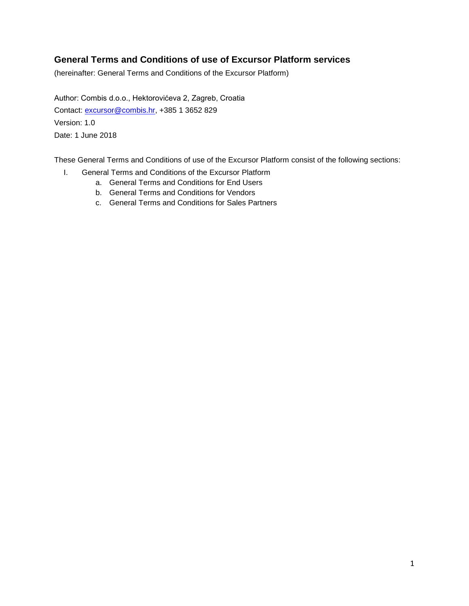# **General Terms and Conditions of use of Excursor Platform services**

(hereinafter: General Terms and Conditions of the Excursor Platform)

Author: Combis d.o.o., Hektorovićeva 2, Zagreb, Croatia Contact: [excursor@combis.hr,](mailto:excursor@combis.hr) +385 1 3652 829 Version: 1.0 Date: 1 June 2018

These General Terms and Conditions of use of the Excursor Platform consist of the following sections:

- I. General Terms and Conditions of the Excursor Platform
	- a. General Terms and Conditions for End Users
	- b. General Terms and Conditions for Vendors
	- c. General Terms and Conditions for Sales Partners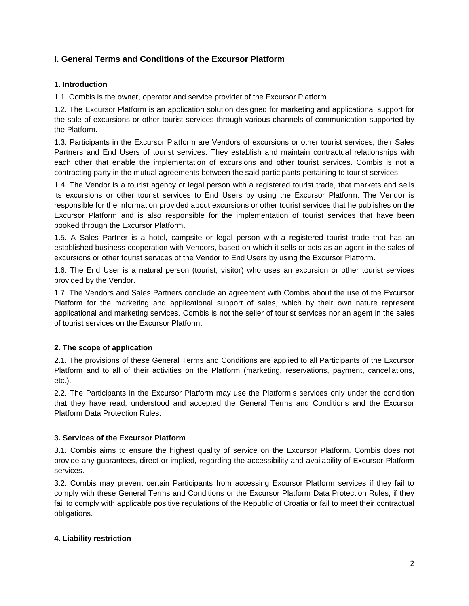# **I. General Terms and Conditions of the Excursor Platform**

### **1. Introduction**

1.1. Combis is the owner, operator and service provider of the Excursor Platform.

1.2. The Excursor Platform is an application solution designed for marketing and applicational support for the sale of excursions or other tourist services through various channels of communication supported by the Platform.

1.3. Participants in the Excursor Platform are Vendors of excursions or other tourist services, their Sales Partners and End Users of tourist services. They establish and maintain contractual relationships with each other that enable the implementation of excursions and other tourist services. Combis is not a contracting party in the mutual agreements between the said participants pertaining to tourist services.

1.4. The Vendor is a tourist agency or legal person with a registered tourist trade, that markets and sells its excursions or other tourist services to End Users by using the Excursor Platform. The Vendor is responsible for the information provided about excursions or other tourist services that he publishes on the Excursor Platform and is also responsible for the implementation of tourist services that have been booked through the Excursor Platform.

1.5. A Sales Partner is a hotel, campsite or legal person with a registered tourist trade that has an established business cooperation with Vendors, based on which it sells or acts as an agent in the sales of excursions or other tourist services of the Vendor to End Users by using the Excursor Platform.

1.6. The End User is a natural person (tourist, visitor) who uses an excursion or other tourist services provided by the Vendor.

1.7. The Vendors and Sales Partners conclude an agreement with Combis about the use of the Excursor Platform for the marketing and applicational support of sales, which by their own nature represent applicational and marketing services. Combis is not the seller of tourist services nor an agent in the sales of tourist services on the Excursor Platform.

## **2. The scope of application**

2.1. The provisions of these General Terms and Conditions are applied to all Participants of the Excursor Platform and to all of their activities on the Platform (marketing, reservations, payment, cancellations, etc.).

2.2. The Participants in the Excursor Platform may use the Platform's services only under the condition that they have read, understood and accepted the General Terms and Conditions and the Excursor Platform Data Protection Rules.

#### **3. Services of the Excursor Platform**

3.1. Combis aims to ensure the highest quality of service on the Excursor Platform. Combis does not provide any guarantees, direct or implied, regarding the accessibility and availability of Excursor Platform services.

3.2. Combis may prevent certain Participants from accessing Excursor Platform services if they fail to comply with these General Terms and Conditions or the Excursor Platform Data Protection Rules, if they fail to comply with applicable positive regulations of the Republic of Croatia or fail to meet their contractual obligations.

#### **4. Liability restriction**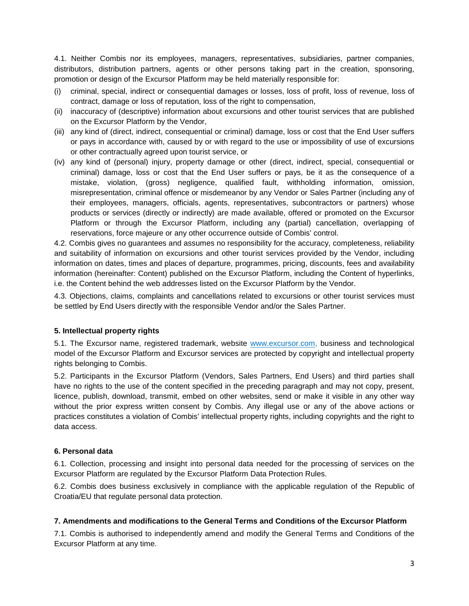4.1. Neither Combis nor its employees, managers, representatives, subsidiaries, partner companies, distributors, distribution partners, agents or other persons taking part in the creation, sponsoring, promotion or design of the Excursor Platform may be held materially responsible for:

- (i) criminal, special, indirect or consequential damages or losses, loss of profit, loss of revenue, loss of contract, damage or loss of reputation, loss of the right to compensation,
- (ii) inaccuracy of (descriptive) information about excursions and other tourist services that are published on the Excursor Platform by the Vendor,
- (iii) any kind of (direct, indirect, consequential or criminal) damage, loss or cost that the End User suffers or pays in accordance with, caused by or with regard to the use or impossibility of use of excursions or other contractually agreed upon tourist service, or
- (iv) any kind of (personal) injury, property damage or other (direct, indirect, special, consequential or criminal) damage, loss or cost that the End User suffers or pays, be it as the consequence of a mistake, violation, (gross) negligence, qualified fault, withholding information, omission, misrepresentation, criminal offence or misdemeanor by any Vendor or Sales Partner (including any of their employees, managers, officials, agents, representatives, subcontractors or partners) whose products or services (directly or indirectly) are made available, offered or promoted on the Excursor Platform or through the Excursor Platform, including any (partial) cancellation, overlapping of reservations, force majeure or any other occurrence outside of Combis' control.

4.2. Combis gives no guarantees and assumes no responsibility for the accuracy, completeness, reliability and suitability of information on excursions and other tourist services provided by the Vendor, including information on dates, times and places of departure, programmes, pricing, discounts, fees and availability information (hereinafter: Content) published on the Excursor Platform, including the Content of hyperlinks, i.e. the Content behind the web addresses listed on the Excursor Platform by the Vendor.

4.3. Objections, claims, complaints and cancellations related to excursions or other tourist services must be settled by End Users directly with the responsible Vendor and/or the Sales Partner.

#### **5. Intellectual property rights**

5.1. The Excursor name, registered trademark, website www.excursor.com, business and technological model of the Excursor Platform and Excursor services are protected by copyright and intellectual property rights belonging to Combis.

5.2. Participants in the Excursor Platform (Vendors, Sales Partners, End Users) and third parties shall have no rights to the use of the content specified in the preceding paragraph and may not copy, present, licence, publish, download, transmit, embed on other websites, send or make it visible in any other way without the prior express written consent by Combis. Any illegal use or any of the above actions or practices constitutes a violation of Combis' intellectual property rights, including copyrights and the right to data access.

#### **6. Personal data**

6.1. Collection, processing and insight into personal data needed for the processing of services on the Excursor Platform are regulated by the Excursor Platform Data Protection Rules.

6.2. Combis does business exclusively in compliance with the applicable regulation of the Republic of Croatia/EU that regulate personal data protection.

#### **7. Amendments and modifications to the General Terms and Conditions of the Excursor Platform**

7.1. Combis is authorised to independently amend and modify the General Terms and Conditions of the Excursor Platform at any time.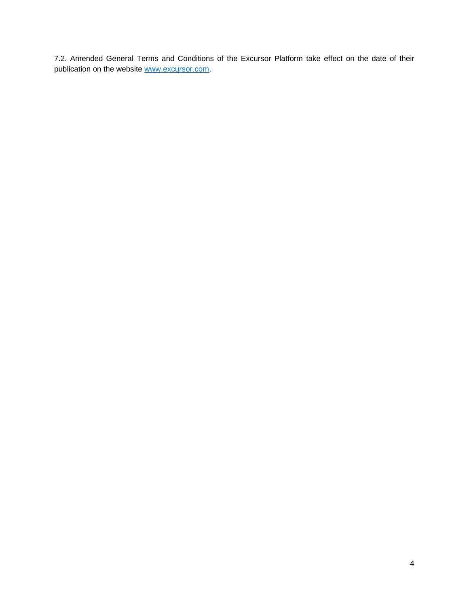7.2. Amended General Terms and Conditions of the Excursor Platform take effect on the date of their publication on the website www.excursor.com.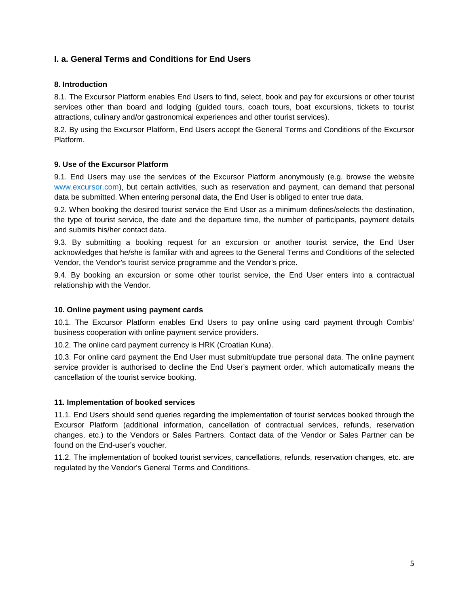## **I. a. General Terms and Conditions for End Users**

#### **8. Introduction**

8.1. The Excursor Platform enables End Users to find, select, book and pay for excursions or other tourist services other than board and lodging (guided tours, coach tours, boat excursions, tickets to tourist attractions, culinary and/or gastronomical experiences and other tourist services).

8.2. By using the Excursor Platform, End Users accept the General Terms and Conditions of the Excursor Platform.

#### **9. Use of the Excursor Platform**

9.1. End Users may use the services of the Excursor Platform anonymously (e.g. browse the website www.excursor.com), but certain activities, such as reservation and payment, can demand that personal data be submitted. When entering personal data, the End User is obliged to enter true data.

9.2. When booking the desired tourist service the End User as a minimum defines/selects the destination, the type of tourist service, the date and the departure time, the number of participants, payment details and submits his/her contact data.

9.3. By submitting a booking request for an excursion or another tourist service, the End User acknowledges that he/she is familiar with and agrees to the General Terms and Conditions of the selected Vendor, the Vendor's tourist service programme and the Vendor's price.

9.4. By booking an excursion or some other tourist service, the End User enters into a contractual relationship with the Vendor.

#### **10. Online payment using payment cards**

10.1. The Excursor Platform enables End Users to pay online using card payment through Combis' business cooperation with online payment service providers.

10.2. The online card payment currency is HRK (Croatian Kuna).

10.3. For online card payment the End User must submit/update true personal data. The online payment service provider is authorised to decline the End User's payment order, which automatically means the cancellation of the tourist service booking.

#### **11. Implementation of booked services**

11.1. End Users should send queries regarding the implementation of tourist services booked through the Excursor Platform (additional information, cancellation of contractual services, refunds, reservation changes, etc.) to the Vendors or Sales Partners. Contact data of the Vendor or Sales Partner can be found on the End-user's voucher.

11.2. The implementation of booked tourist services, cancellations, refunds, reservation changes, etc. are regulated by the Vendor's General Terms and Conditions.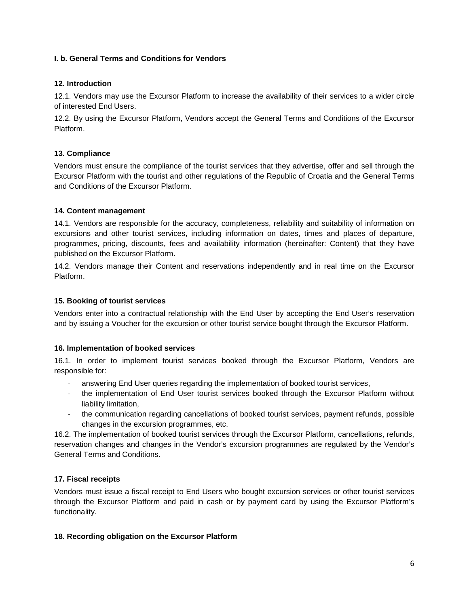### **I. b. General Terms and Conditions for Vendors**

#### **12. Introduction**

12.1. Vendors may use the Excursor Platform to increase the availability of their services to a wider circle of interested End Users.

12.2. By using the Excursor Platform, Vendors accept the General Terms and Conditions of the Excursor Platform.

### **13. Compliance**

Vendors must ensure the compliance of the tourist services that they advertise, offer and sell through the Excursor Platform with the tourist and other regulations of the Republic of Croatia and the General Terms and Conditions of the Excursor Platform.

#### **14. Content management**

14.1. Vendors are responsible for the accuracy, completeness, reliability and suitability of information on excursions and other tourist services, including information on dates, times and places of departure, programmes, pricing, discounts, fees and availability information (hereinafter: Content) that they have published on the Excursor Platform.

14.2. Vendors manage their Content and reservations independently and in real time on the Excursor Platform.

### **15. Booking of tourist services**

Vendors enter into a contractual relationship with the End User by accepting the End User's reservation and by issuing a Voucher for the excursion or other tourist service bought through the Excursor Platform.

#### **16. Implementation of booked services**

16.1. In order to implement tourist services booked through the Excursor Platform, Vendors are responsible for:

- ‐ answering End User queries regarding the implementation of booked tourist services,
- the implementation of End User tourist services booked through the Excursor Platform without liability limitation,
- ‐ the communication regarding cancellations of booked tourist services, payment refunds, possible changes in the excursion programmes, etc.

16.2. The implementation of booked tourist services through the Excursor Platform, cancellations, refunds, reservation changes and changes in the Vendor's excursion programmes are regulated by the Vendor's General Terms and Conditions.

#### **17. Fiscal receipts**

Vendors must issue a fiscal receipt to End Users who bought excursion services or other tourist services through the Excursor Platform and paid in cash or by payment card by using the Excursor Platform's functionality.

#### **18. Recording obligation on the Excursor Platform**